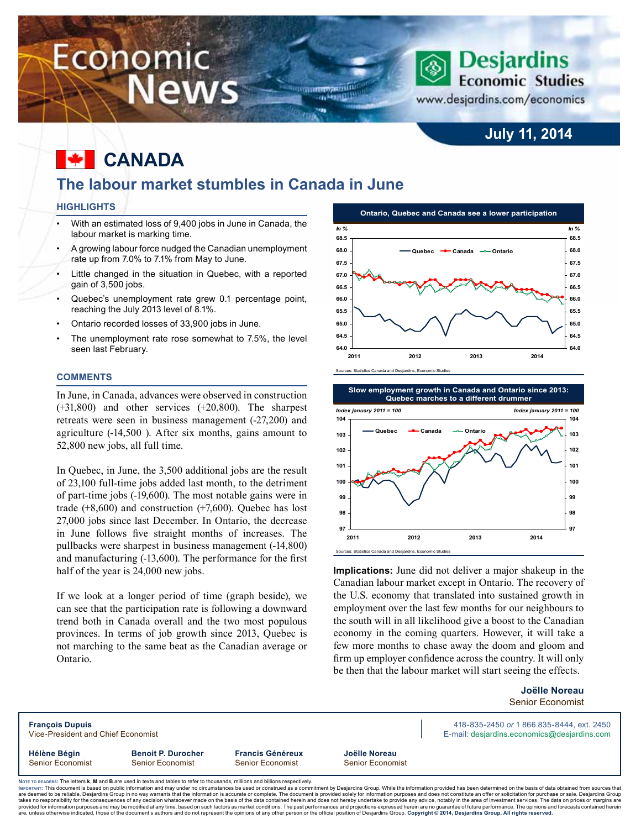# Economic **News**

### **July 11, 2014**

**Economic Studies** 

**Desjardins** 

www.desjardins.com/economics

#### **canada** M

### **The labour market stumbles in Canada in June**

um<del>mana</del>nin on Hamilli

#### **Highlights**

- With an estimated loss of 9,400 jobs in June in Canada, the labour market is marking time.
- A growing labour force nudged the Canadian unemployment rate up from 7.0% to 7.1% from May to June.
- Little changed in the situation in Quebec, with a reported gain of 3,500 jobs.
- Quebec's unemployment rate grew 0.1 percentage point, reaching the July 2013 level of 8.1%.
- Ontario recorded losses of 33,900 jobs in June.
- The unemployment rate rose somewhat to 7.5%, the level seen last February.

#### **Comments**

In June, in Canada, advances were observed in construction (+31,800) and other services (+20,800). The sharpest retreats were seen in business management (-27,200) and agriculture (-14,500 ). After six months, gains amount to 52,800 new jobs, all full time.

In Quebec, in June, the 3,500 additional jobs are the result of 23,100 full-time jobs added last month, to the detriment of part-time jobs (-19,600). The most notable gains were in trade  $(+8,600)$  and construction  $(+7,600)$ . Quebec has lost 27,000 jobs since last December. In Ontario, the decrease in June follows five straight months of increases. The pullbacks were sharpest in business management (-14,800) and manufacturing (-13,600). The performance for the first half of the year is 24,000 new jobs.

If we look at a longer period of time (graph beside), we can see that the participation rate is following a downward trend both in Canada overall and the two most populous provinces. In terms of job growth since 2013, Quebec is not marching to the same beat as the Canadian average or Ontario.





**Implications:** June did not deliver a major shakeup in the Canadian labour market except in Ontario. The recovery of the U.S. economy that translated into sustained growth in employment over the last few months for our neighbours to the south will in all likelihood give a boost to the Canadian economy in the coming quarters. However, it will take a few more months to chase away the doom and gloom and firm up employer confidence across the country. It will only be then that the labour market will start seeing the effects.

> **Joëlle Noreau** Senior Economist

**François Dupuis** 418-835-2450 *or* 1 866 835-8444, ext. 2450 Vice-President and Chief Economist **E-mail: designediate and Chief Economist** E-mail: desjardins.com is a seconomics@desjardins.com **Hélène Bégin Benoit P. Durocher Francis Généreux Joëlle Noreau** Senior Economist Senior Economist Senior Economist Senior Economist

Noте то келоекs: The letters **k, M** and **B** are used in texts and tables to refer to thousands, millions and billions respectively.<br>Імроктлит: This document is based on public information and may under no circumstances be are deemed to be reliable. Desiardins Group in no way warrants that the information is accurate or complete. The document is provided solely for information purposes and does not constitute an offer or solicitation for pur takes no responsibility for the consequences of any decision whatsoever made on the basis of the data contained herein and does not hereby undertake to provide any advice, notably in the area of investment services. The da are, unless otherwise indicated, those of the document's authors and which which cases on a the character interest in the past performances and projections expressed herein are no guarantee of future performance. The opini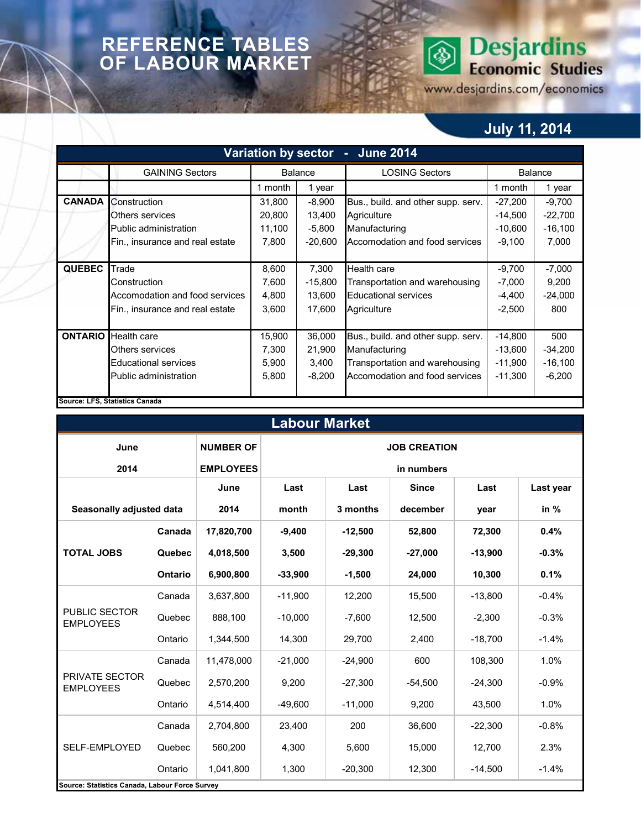### **REFERENCE TABLES OF LABOUR MARKET**

# **Desjardins**<br>Economic Studies ◈

www.desjardins.com/economics

## **July 11, 2014**

| Variation by sector - June 2014 |                                 |                   |                |                                    |           |           |  |  |  |  |  |
|---------------------------------|---------------------------------|-------------------|----------------|------------------------------------|-----------|-----------|--|--|--|--|--|
|                                 | <b>GAINING Sectors</b>          |                   | <b>Balance</b> | <b>LOSING Sectors</b>              | Balance   |           |  |  |  |  |  |
|                                 |                                 | 1 month           | 1 year         |                                    | 1 month   | 1 year    |  |  |  |  |  |
| <b>CANADA</b>                   | Construction                    | 31,800            | $-8,900$       | Bus., build. and other supp. serv. | $-27,200$ | $-9,700$  |  |  |  |  |  |
|                                 | Others services                 | 20,800            | 13,400         | Agriculture                        | $-14,500$ | $-22,700$ |  |  |  |  |  |
|                                 | Public administration           | 11,100            | $-5,800$       | Manufacturing                      | $-10,600$ | $-16,100$ |  |  |  |  |  |
|                                 | Fin., insurance and real estate | 7,800             | $-20,600$      | Accomodation and food services     | $-9,100$  | 7,000     |  |  |  |  |  |
|                                 |                                 |                   |                |                                    |           |           |  |  |  |  |  |
| <b>QUEBEC</b>                   | Trade                           | 8,600             | 7,300          | <b>Health care</b>                 | $-9,700$  | $-7,000$  |  |  |  |  |  |
|                                 | Construction                    | 7,600             | $-15,800$      | Transportation and warehousing     | $-7,000$  | 9,200     |  |  |  |  |  |
|                                 | Accomodation and food services  | 4,800             | 13,600         | <b>Educational services</b>        | $-4,400$  | $-24,000$ |  |  |  |  |  |
|                                 | Fin., insurance and real estate | 3,600<br>17,600   |                | Agriculture                        | $-2,500$  | 800       |  |  |  |  |  |
|                                 |                                 |                   |                |                                    |           |           |  |  |  |  |  |
| <b>ONTARIO</b>                  | <b>Health care</b>              | 15,900            | 36,000         | Bus., build. and other supp. serv. | $-14,800$ | 500       |  |  |  |  |  |
|                                 | Others services                 | 7,300             | 21,900         | Manufacturing                      | $-13,600$ | $-34,200$ |  |  |  |  |  |
|                                 | <b>Educational services</b>     | 5,900<br>3,400    |                | Transportation and warehousing     | $-11,900$ | $-16,100$ |  |  |  |  |  |
|                                 | Public administration           | $-8,200$<br>5,800 |                | Accomodation and food services     | $-11,300$ | $-6,200$  |  |  |  |  |  |
|                                 |                                 |                   |                |                                    |           |           |  |  |  |  |  |
|                                 | Source: LFS, Statistics Canada  |                   |                |                                    |           |           |  |  |  |  |  |

| <b>Labour Market</b>                           |                |                  |                     |                      |              |           |           |  |  |  |  |  |
|------------------------------------------------|----------------|------------------|---------------------|----------------------|--------------|-----------|-----------|--|--|--|--|--|
| June                                           |                | <b>NUMBER OF</b> | <b>JOB CREATION</b> |                      |              |           |           |  |  |  |  |  |
| 2014                                           |                | <b>EMPLOYEES</b> | in numbers          |                      |              |           |           |  |  |  |  |  |
|                                                |                | June             | Last<br>Last        |                      | <b>Since</b> | Last      | Last year |  |  |  |  |  |
| Seasonally adjusted data                       |                | 2014             | month               | december<br>3 months |              | year      | in $%$    |  |  |  |  |  |
|                                                | Canada         | 17,820,700       | $-9,400$            | $-12,500$            | 52,800       | 72,300    | 0.4%      |  |  |  |  |  |
| <b>TOTAL JOBS</b>                              | Quebec         | 4,018,500        | 3,500               | $-29,300$            | $-27.000$    | $-13,900$ | $-0.3%$   |  |  |  |  |  |
|                                                | <b>Ontario</b> | 6,900,800        | $-33,900$           | $-1,500$             | 24,000       | 10,300    | 0.1%      |  |  |  |  |  |
|                                                | Canada         | 3,637,800        | $-11,900$           | 12,200               | 15,500       | $-13,800$ | $-0.4%$   |  |  |  |  |  |
| <b>PUBLIC SECTOR</b><br><b>EMPLOYEES</b>       | Quebec         | 888,100          | $-10,000$           | $-7,600$             | 12,500       | $-2,300$  | $-0.3%$   |  |  |  |  |  |
|                                                | Ontario        | 1,344,500        | 14,300              | 29,700               | 2,400        | $-18,700$ | $-1.4%$   |  |  |  |  |  |
|                                                | Canada         | 11,478,000       | $-21,000$           | $-24,900$            | 600          | 108,300   | 1.0%      |  |  |  |  |  |
| <b>PRIVATE SECTOR</b><br><b>EMPLOYEES</b>      | Quebec         | 2,570,200        | 9,200               | $-27,300$            | $-54,500$    | $-24,300$ | $-0.9%$   |  |  |  |  |  |
|                                                | Ontario        | 4,514,400        | $-49,600$           | $-11,000$            | 9,200        | 43,500    | 1.0%      |  |  |  |  |  |
|                                                | Canada         | 2,704,800        | 23,400              | 200                  | 36,600       | $-22,300$ | $-0.8%$   |  |  |  |  |  |
| SELF-EMPLOYED                                  | Quebec         | 560,200          | 4,300               | 5,600                | 15,000       | 12,700    | 2.3%      |  |  |  |  |  |
|                                                | Ontario        | 1,041,800        | 1,300               | $-20,300$            | 12,300       | $-14,500$ | $-1.4%$   |  |  |  |  |  |
| Source: Statistics Canada, Labour Force Survey |                |                  |                     |                      |              |           |           |  |  |  |  |  |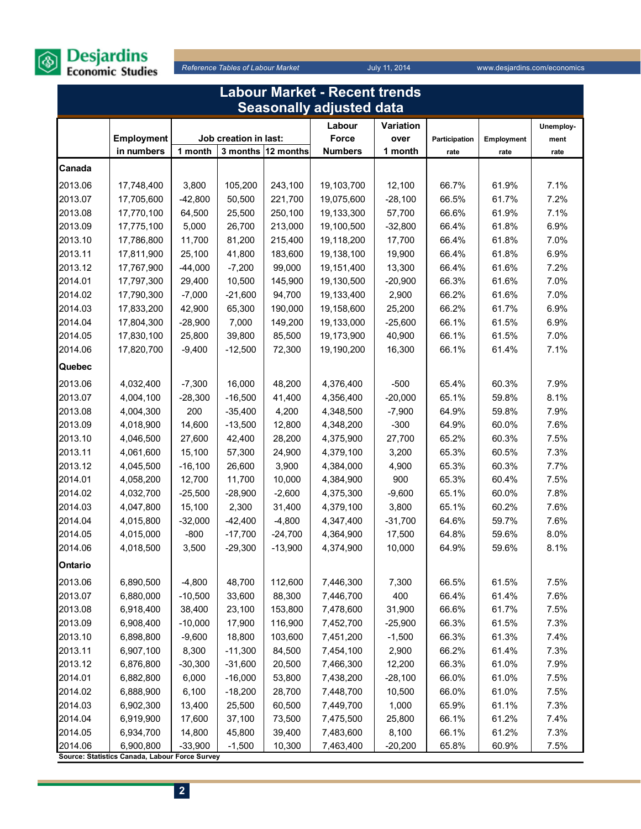

| <b>Labour Market - Recent trends</b> |                                                             |           |                       |                    |                                 |           |               |                   |           |  |
|--------------------------------------|-------------------------------------------------------------|-----------|-----------------------|--------------------|---------------------------------|-----------|---------------|-------------------|-----------|--|
|                                      |                                                             |           |                       |                    | <b>Seasonally adjusted data</b> |           |               |                   |           |  |
|                                      |                                                             |           |                       |                    | Labour                          | Variation |               |                   | Unemploy- |  |
|                                      | <b>Employment</b>                                           |           | Job creation in last: |                    | Force                           | over      | Participation | <b>Employment</b> | ment      |  |
|                                      | in numbers                                                  | 1 month   |                       | 3 months 12 months | <b>Numbers</b>                  | 1 month   | rate          | rate              | rate      |  |
| Canada                               |                                                             |           |                       |                    |                                 |           |               |                   |           |  |
| 2013.06                              | 17,748,400                                                  | 3,800     | 105,200               | 243,100            | 19,103,700                      | 12,100    | 66.7%         | 61.9%             | 7.1%      |  |
| 2013.07                              | 17,705,600                                                  | $-42,800$ | 50,500                | 221,700            | 19,075,600                      | $-28,100$ | 66.5%         | 61.7%             | 7.2%      |  |
| 2013.08                              | 17,770,100                                                  | 64,500    | 25,500                | 250,100            | 19,133,300                      | 57,700    | 66.6%         | 61.9%             | 7.1%      |  |
| 2013.09                              | 17,775,100                                                  | 5,000     | 26,700                | 213,000            | 19,100,500                      | $-32,800$ | 66.4%         | 61.8%             | 6.9%      |  |
| 2013.10                              | 17,786,800                                                  | 11,700    | 81,200                | 215,400            | 19,118,200                      | 17,700    | 66.4%         | 61.8%             | 7.0%      |  |
| 2013.11                              | 17,811,900                                                  | 25,100    | 41,800                | 183,600            | 19,138,100                      | 19,900    | 66.4%         | 61.8%             | 6.9%      |  |
| 2013.12                              | 17,767,900                                                  | $-44,000$ | $-7,200$              | 99,000             | 19,151,400                      | 13,300    | 66.4%         | 61.6%             | 7.2%      |  |
| 2014.01                              | 17,797,300                                                  | 29,400    | 10,500                | 145,900            | 19,130,500                      | $-20,900$ | 66.3%         | 61.6%             | 7.0%      |  |
| 2014.02                              | 17,790,300                                                  | $-7,000$  | $-21,600$             | 94,700             | 19,133,400                      | 2,900     | 66.2%         | 61.6%             | 7.0%      |  |
| 2014.03                              | 17,833,200                                                  | 42,900    | 65,300                | 190,000            | 19,158,600                      | 25,200    | 66.2%         | 61.7%             | 6.9%      |  |
| 2014.04                              | 17,804,300                                                  | $-28,900$ | 7,000                 | 149,200            | 19,133,000                      | $-25,600$ | 66.1%         | 61.5%             | 6.9%      |  |
| 2014.05                              | 17,830,100                                                  | 25,800    | 39,800                | 85,500             | 19,173,900                      | 40,900    | 66.1%         | 61.5%             | 7.0%      |  |
| 2014.06                              | 17,820,700                                                  | $-9,400$  | $-12,500$             | 72,300             | 19,190,200                      | 16,300    | 66.1%         | 61.4%             | 7.1%      |  |
| Quebec                               |                                                             |           |                       |                    |                                 |           |               |                   |           |  |
| 2013.06                              | 4,032,400                                                   | $-7,300$  | 16,000                | 48,200             | 4,376,400                       | $-500$    | 65.4%         | 60.3%             | 7.9%      |  |
| 2013.07                              | 4,004,100                                                   | $-28,300$ | $-16,500$             | 41,400             | 4,356,400                       | $-20,000$ | 65.1%         | 59.8%             | 8.1%      |  |
| 2013.08                              | 4,004,300                                                   | 200       | $-35,400$             | 4,200              | 4,348,500                       | $-7,900$  | 64.9%         | 59.8%             | 7.9%      |  |
| 2013.09                              | 4,018,900                                                   | 14,600    | $-13,500$             | 12,800             | 4,348,200                       | $-300$    | 64.9%         | 60.0%             | 7.6%      |  |
| 2013.10                              | 4,046,500                                                   | 27,600    | 42,400                | 28,200             | 4,375,900                       | 27,700    | 65.2%         | 60.3%             | 7.5%      |  |
| 2013.11                              | 4,061,600                                                   | 15,100    | 57,300                | 24,900             | 4,379,100                       | 3,200     | 65.3%         | 60.5%             | 7.3%      |  |
| 2013.12                              | 4,045,500                                                   | $-16,100$ | 26,600                | 3,900              | 4,384,000                       | 4,900     | 65.3%         | 60.3%             | 7.7%      |  |
| 2014.01                              | 4,058,200                                                   | 12,700    | 11,700                | 10,000             | 4,384,900                       | 900       | 65.3%         | 60.4%             | 7.5%      |  |
| 2014.02                              | 4,032,700                                                   | $-25,500$ | $-28,900$             | $-2,600$           | 4,375,300                       | $-9,600$  | 65.1%         | 60.0%             | 7.8%      |  |
| 2014.03                              | 4,047,800                                                   | 15,100    | 2,300                 | 31,400             | 4,379,100                       | 3,800     | 65.1%         | 60.2%             | 7.6%      |  |
| 2014.04                              | 4,015,800                                                   | $-32,000$ | $-42,400$             | $-4,800$           | 4,347,400                       | $-31,700$ | 64.6%         | 59.7%             | 7.6%      |  |
| 2014.05                              | 4,015,000                                                   | $-800$    | $-17,700$             | $-24,700$          | 4,364,900                       | 17,500    | 64.8%         | 59.6%             | 8.0%      |  |
| 2014.06                              | 4,018,500                                                   | 3,500     | $-29,300$             | $-13,900$          | 4,374,900                       | 10,000    | 64.9%         | 59.6%             | 8.1%      |  |
| Ontario                              |                                                             |           |                       |                    |                                 |           |               |                   |           |  |
| 2013.06                              | 6,890,500                                                   | $-4,800$  | 48,700                | 112,600            | 7,446,300                       | 7,300     | 66.5%         | 61.5%             | 7.5%      |  |
| 2013.07                              | 6,880,000                                                   | $-10,500$ | 33,600                | 88,300             | 7,446,700                       | 400       | 66.4%         | 61.4%             | 7.6%      |  |
| 2013.08                              | 6,918,400                                                   | 38,400    | 23,100                | 153,800            | 7,478,600                       | 31,900    | 66.6%         | 61.7%             | 7.5%      |  |
| 2013.09                              | 6,908,400                                                   | $-10,000$ | 17,900                | 116,900            | 7,452,700                       | $-25,900$ | 66.3%         | 61.5%             | 7.3%      |  |
| 2013.10                              | 6,898,800                                                   | $-9,600$  | 18,800                | 103,600            | 7,451,200                       | $-1,500$  | 66.3%         | 61.3%             | 7.4%      |  |
| 2013.11                              | 6,907,100                                                   | 8,300     | $-11,300$             | 84,500             | 7,454,100                       | 2,900     | 66.2%         | 61.4%             | 7.3%      |  |
| 2013.12                              | 6,876,800                                                   | $-30,300$ | $-31,600$             | 20,500             | 7,466,300                       | 12,200    | 66.3%         | 61.0%             | 7.9%      |  |
| 2014.01                              | 6,882,800                                                   | 6,000     | $-16,000$             | 53,800             | 7,438,200                       | $-28,100$ | 66.0%         | 61.0%             | 7.5%      |  |
| 2014.02                              | 6,888,900                                                   | 6,100     | $-18,200$             | 28,700             | 7,448,700                       | 10,500    | 66.0%         | 61.0%             | 7.5%      |  |
| 2014.03                              | 6,902,300                                                   | 13,400    | 25,500                | 60,500             | 7,449,700                       | 1,000     | 65.9%         | 61.1%             | 7.3%      |  |
| 2014.04                              | 6,919,900                                                   | 17,600    | 37,100                | 73,500             | 7,475,500                       | 25,800    | 66.1%         | 61.2%             | 7.4%      |  |
| 2014.05                              | 6,934,700                                                   | 14,800    | 45,800                | 39,400             | 7,483,600                       | 8,100     | 66.1%         | 61.2%             | 7.3%      |  |
| 2014.06                              | 6,900,800<br>Source: Statistics Canada, Labour Force Survey | $-33,900$ | $-1,500$              | 10,300             | 7,463,400                       | $-20,200$ | 65.8%         | 60.9%             | 7.5%      |  |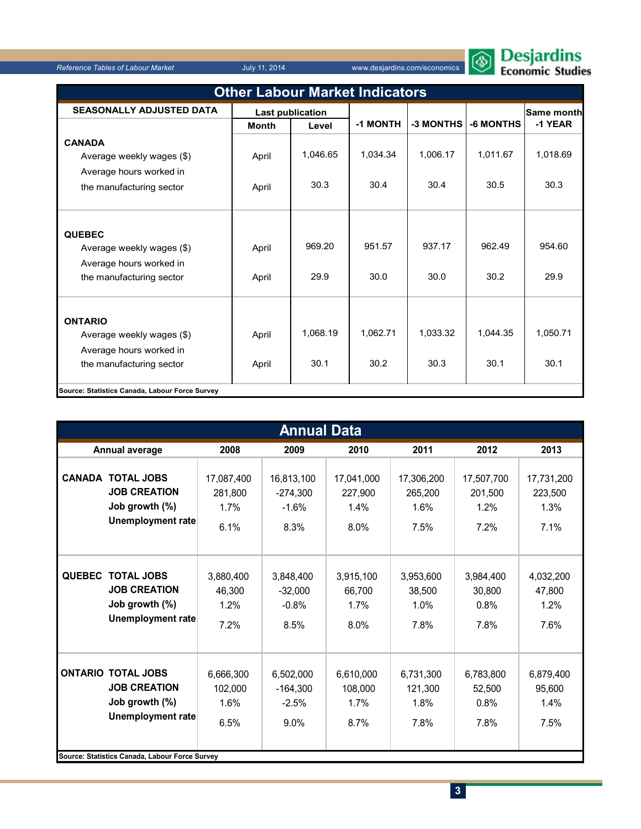

| <b>Other Labour Market Indicators</b>          |                         |          |          |           |           |                   |  |  |  |
|------------------------------------------------|-------------------------|----------|----------|-----------|-----------|-------------------|--|--|--|
| <b>SEASONALLY ADJUSTED DATA</b>                | <b>Last publication</b> |          |          |           |           | <b>Same month</b> |  |  |  |
|                                                | <b>Month</b>            | Level    | -1 MONTH | -3 MONTHS | -6 MONTHS | -1 YEAR           |  |  |  |
| <b>CANADA</b>                                  |                         |          |          |           |           |                   |  |  |  |
| Average weekly wages (\$)                      | April                   | 1,046.65 | 1,034.34 | 1,006.17  | 1,011.67  | 1,018.69          |  |  |  |
| Average hours worked in                        |                         |          |          |           |           |                   |  |  |  |
| the manufacturing sector                       | April                   | 30.3     | 30.4     | 30.4      | 30.5      | 30.3              |  |  |  |
|                                                |                         |          |          |           |           |                   |  |  |  |
| <b>QUEBEC</b><br>Average weekly wages (\$)     | April                   | 969.20   | 951.57   | 937.17    | 962.49    | 954.60            |  |  |  |
| Average hours worked in                        |                         |          |          |           |           |                   |  |  |  |
| the manufacturing sector                       | April                   | 29.9     | 30.0     | 30.0      | 30.2      | 29.9              |  |  |  |
|                                                |                         |          |          |           |           |                   |  |  |  |
| <b>ONTARIO</b>                                 |                         |          |          |           |           |                   |  |  |  |
| Average weekly wages (\$)                      | April                   | 1,068.19 | 1,062.71 | 1.033.32  | 1.044.35  | 1,050.71          |  |  |  |
| Average hours worked in                        |                         |          |          |           |           |                   |  |  |  |
| the manufacturing sector                       | April                   | 30.1     | 30.2     | 30.3      | 30.1      | 30.1              |  |  |  |
| Source: Statistics Canada, Labour Force Survey |                         |          |          |           |           |                   |  |  |  |

|               | <b>Annual Data</b>                                                                                                                               |                                       |                                                                                      |                                      |                                       |                                       |                                       |  |  |  |  |  |
|---------------|--------------------------------------------------------------------------------------------------------------------------------------------------|---------------------------------------|--------------------------------------------------------------------------------------|--------------------------------------|---------------------------------------|---------------------------------------|---------------------------------------|--|--|--|--|--|
|               | Annual average                                                                                                                                   | 2008                                  | 2010<br>2009                                                                         |                                      | 2011                                  | 2012                                  | 2013                                  |  |  |  |  |  |
|               | <b>CANADA TOTAL JOBS</b><br><b>JOB CREATION</b><br>Job growth (%)<br><b>Unemployment rate</b>                                                    | 17,087,400<br>281,800<br>1.7%<br>6.1% | 16,813,100<br>17,041,000<br>$-274,300$<br>227,900<br>$-1.6%$<br>1.4%<br>8.3%<br>8.0% |                                      | 17,306,200<br>265,200<br>1.6%<br>7.5% | 17,507,700<br>201,500<br>1.2%<br>7.2% | 17,731,200<br>223,500<br>1.3%<br>7.1% |  |  |  |  |  |
| <b>QUEBEC</b> | <b>TOTAL JOBS</b><br><b>JOB CREATION</b><br>Job growth (%)<br><b>Unemployment rate</b>                                                           | 3,880,400<br>46,300<br>1.2%<br>7.2%   | 3,848,400<br>$-32,000$<br>$-0.8%$<br>8.5%                                            | 3,915,100<br>66,700<br>1.7%<br>8.0%  | 3,953,600<br>38,500<br>1.0%<br>7.8%   | 3,984,400<br>30,800<br>0.8%<br>7.8%   | 4,032,200<br>47,800<br>1.2%<br>7.6%   |  |  |  |  |  |
|               | <b>ONTARIO TOTAL JOBS</b><br><b>JOB CREATION</b><br>Job growth (%)<br><b>Unemployment rate</b><br>Source: Statistics Canada, Labour Force Survey | 6,666,300<br>102.000<br>1.6%<br>6.5%  | 6,502,000<br>$-164.300$<br>$-2.5%$<br>9.0%                                           | 6,610,000<br>108.000<br>1.7%<br>8.7% | 6,731,300<br>121.300<br>1.8%<br>7.8%  | 6,783,800<br>52.500<br>0.8%<br>7.8%   | 6,879,400<br>95.600<br>1.4%<br>7.5%   |  |  |  |  |  |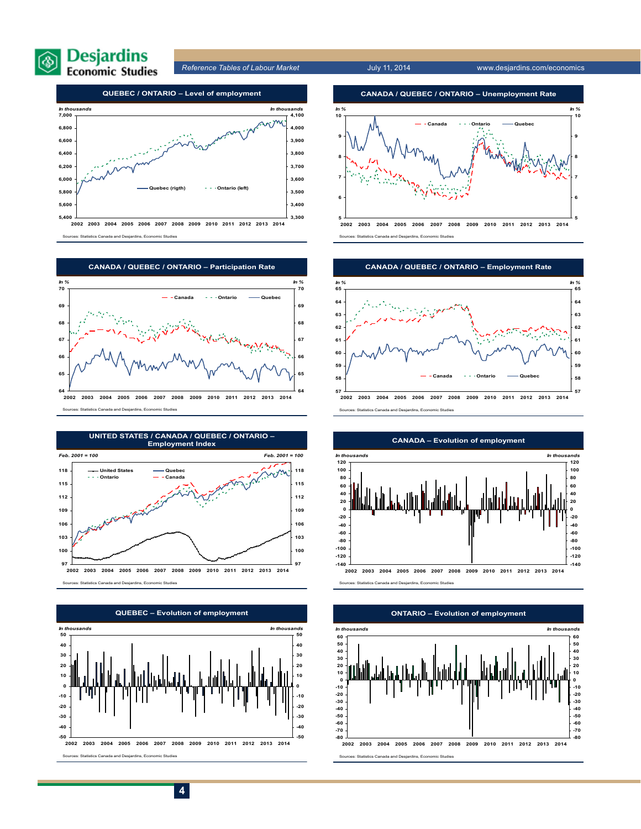



Sources: Statistics Canada and Desjardins, Economic Studies









**2002 2003 2004 2005 2006 2007 2008 2009 2010 2011 2012 2013 2014** Sources: Statistics Canada and Desjardins, Economic Studies





**-80 -70 -60 -50 -40 -30 -20 -10 0 10 20 30 40 50 60 2002 2003 2004 2005 2006 2007 2008 2009 2010 2011 2012 2013 2014** *In thousands* **-80 -70 -60 -50 -40 -30 -20 -10 0 10 20 30 40 50 60** *In tho* Sources: Statistics Canada and Desjardins, Economic Studies **ONTARIO – Evolution of employment**

**4**